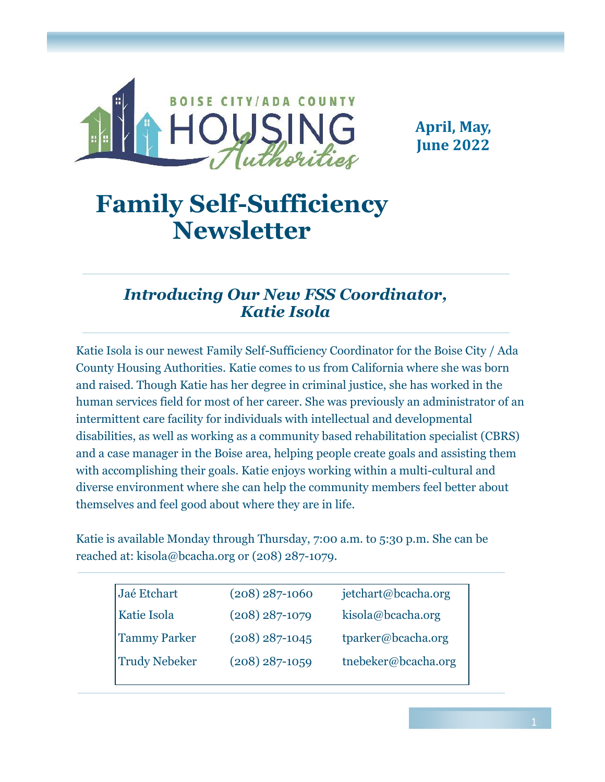

**April, May, June 2022**

# **Family Self-Sufficiency Newsletter**

# *Introducing Our New FSS Coordinator, Katie Isola*

Katie Isola is our newest Family Self-Sufficiency Coordinator for the Boise City / Ada County Housing Authorities. Katie comes to us from California where she was born and raised. Though Katie has her degree in criminal justice, she has worked in the human services field for most of her career. She was previously an administrator of an intermittent care facility for individuals with intellectual and developmental disabilities, as well as working as a community based rehabilitation specialist (CBRS) and a case manager in the Boise area, helping people create goals and assisting them with accomplishing their goals. Katie enjoys working within a multi-cultural and diverse environment where she can help the community members feel better about themselves and feel good about where they are in life.

Katie is available Monday through Thursday, 7:00 a.m. to 5:30 p.m. She can be reached at: kisola@bcacha.org or (208) 287-1079.

| Jaé Etchart          | $(208)$ 287-1060 | jetchart@bcacha.org |  |
|----------------------|------------------|---------------------|--|
| Katie Isola          | $(208)$ 287-1079 | kisola@bcacha.org   |  |
| <b>Tammy Parker</b>  | $(208)$ 287-1045 | tparker@bcacha.org  |  |
| <b>Trudy Nebeker</b> | $(208)$ 287-1059 | tnebeker@bcacha.org |  |
|                      |                  |                     |  |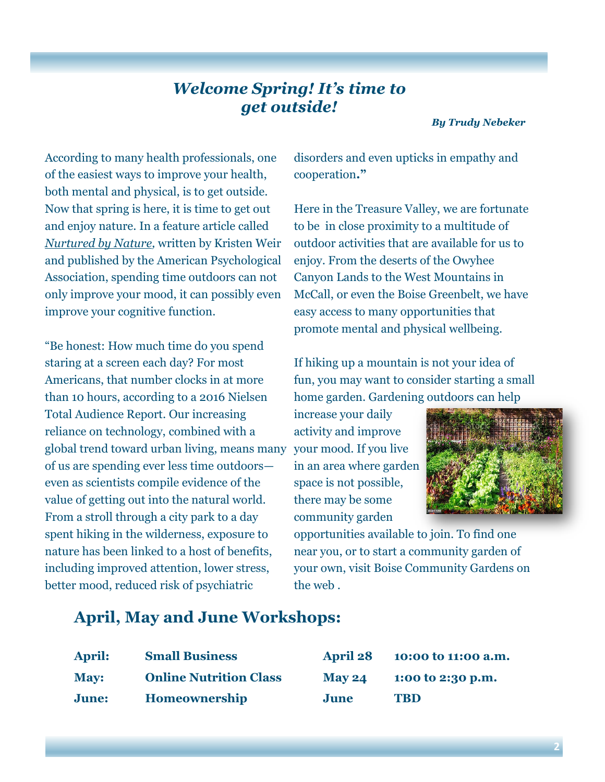# *Welcome Spring! It's time to get outside!*

*By Trudy Nebeker*

According to many health professionals, one of the easiest ways to improve your health, both mental and physical, is to get outside. Now that spring is here, it is time to get out and enjoy nature. In a feature article called *Nurtured by Nature,* written by Kristen Weir and published by the American Psychological Association, spending time outdoors can not only improve your mood, it can possibly even improve your cognitive function.

"Be honest: How much time do you spend staring at a screen each day? For most Americans, that number clocks in at more than 10 hours, according to a 2016 Nielsen Total Audience Report. Our increasing reliance on technology, combined with a global trend toward urban living, means many of us are spending ever less time outdoors even as scientists compile evidence of the value of getting out into the natural world. From a stroll through a city park to a day spent hiking in the wilderness, exposure to nature has been linked to a host of benefits, including improved attention, lower stress, better mood, reduced risk of psychiatric

disorders and even upticks in empathy and cooperation**."**

Here in the Treasure Valley, we are fortunate to be in close proximity to a multitude of outdoor activities that are available for us to enjoy. From the deserts of the Owyhee Canyon Lands to the West Mountains in McCall, or even the Boise Greenbelt, we have easy access to many opportunities that promote mental and physical wellbeing.

If hiking up a mountain is not your idea of fun, you may want to consider starting a small home garden. Gardening outdoors can help

increase your daily activity and improve your mood. If you live in an area where garden space is not possible, there may be some community garden



opportunities available to join. To find one near you, or to start a community garden of your own, visit Boise Community Gardens on the web .

# **April, May and June Workshops:**

| <b>April:</b> | <b>Small Business</b>         | <b>April 28</b> | 10:00 to 11:00 a.m. |
|---------------|-------------------------------|-----------------|---------------------|
| <b>May:</b>   | <b>Online Nutrition Class</b> | <b>May 24</b>   | 1:00 to 2:30 p.m.   |
| <b>June:</b>  | <b>Homeownership</b>          | June            | <b>TRD</b>          |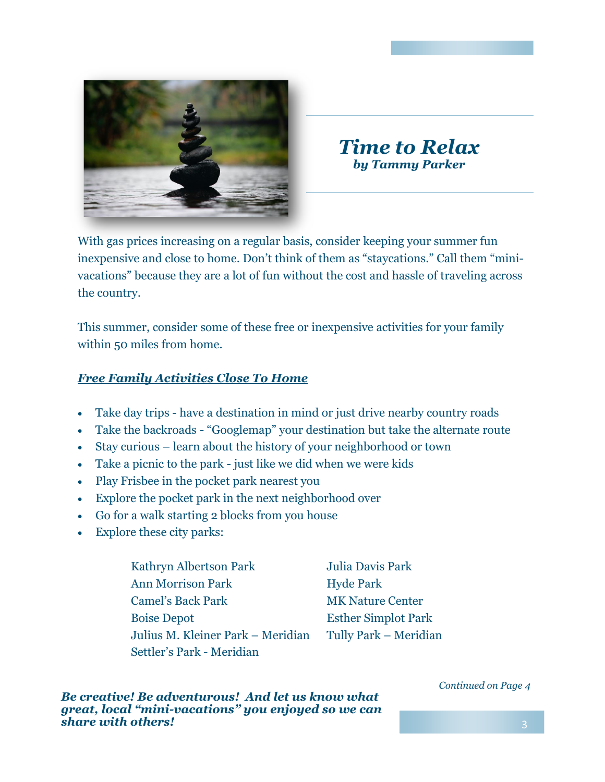

# *Time to Relax by Tammy Parker*

With gas prices increasing on a regular basis, consider keeping your summer fun inexpensive and close to home. Don't think of them as "staycations." Call them "minivacations" because they are a lot of fun without the cost and hassle of traveling across the country.

This summer, consider some of these free or inexpensive activities for your family within 50 miles from home.

### *Free Family Activities Close To Home*

- Take day trips have a destination in mind or just drive nearby country roads
- Take the backroads "Googlemap" your destination but take the alternate route
- Stay curious learn about the history of your neighborhood or town
- Take a picnic to the park just like we did when we were kids
- Play Frisbee in the pocket park nearest you
- Explore the pocket park in the next neighborhood over
- Go for a walk starting 2 blocks from you house
- Explore these city parks:
	- Kathryn Albertson Park Julia Davis Park Ann Morrison Park Hyde Park Camel's Back Park MK Nature Center Boise Depot **Esther Simplot Park** Julius M. Kleiner Park – Meridian Tully Park – Meridian Settler's Park - Meridian

*Be creative! Be adventurous! And let us know what great, local "mini-vacations" you enjoyed so we can share with others!*

### *Continued on Page 4*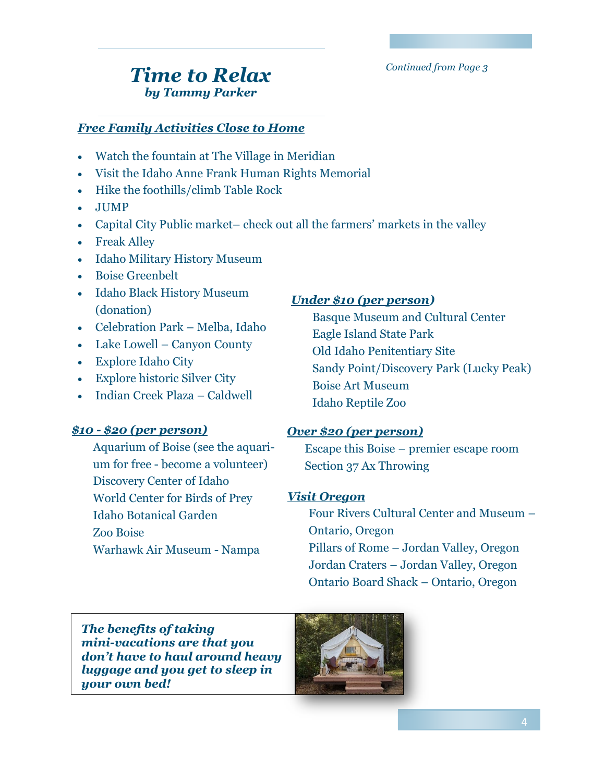*Continued from Page 3*

# *Time to Relax by Tammy Parker*

### *Free Family Activities Close to Home*

- Watch the fountain at The Village in Meridian
- Visit the Idaho Anne Frank Human Rights Memorial
- Hike the foothills/climb Table Rock
- JUMP
- Capital City Public market– check out all the farmers' markets in the valley
- Freak Alley
- Idaho Military History Museum
- Boise Greenbelt
- Idaho Black History Museum (donation)
- Celebration Park Melba, Idaho
- Lake Lowell Canyon County
- Explore Idaho City
- Explore historic Silver City
- Indian Creek Plaza Caldwell

### *\$10 - \$20 (per person)*

Aquarium of Boise (see the aquarium for free - become a volunteer) Discovery Center of Idaho World Center for Birds of Prey Idaho Botanical Garden Zoo Boise Warhawk Air Museum - Nampa

### *Under \$10 (per person)*

Basque Museum and Cultural Center Eagle Island State Park Old Idaho Penitentiary Site Sandy Point/Discovery Park (Lucky Peak) Boise Art Museum Idaho Reptile Zoo

### *Over \$20 (per person)*

Escape this Boise – premier escape room Section 37 Ax Throwing

### *Visit Oregon*

Four Rivers Cultural Center and Museum – Ontario, Oregon Pillars of Rome – Jordan Valley, Oregon Jordan Craters – Jordan Valley, Oregon Ontario Board Shack – Ontario, Oregon

*The benefits of taking mini-vacations are that you don't have to haul around heavy luggage and you get to sleep in your own bed!* 

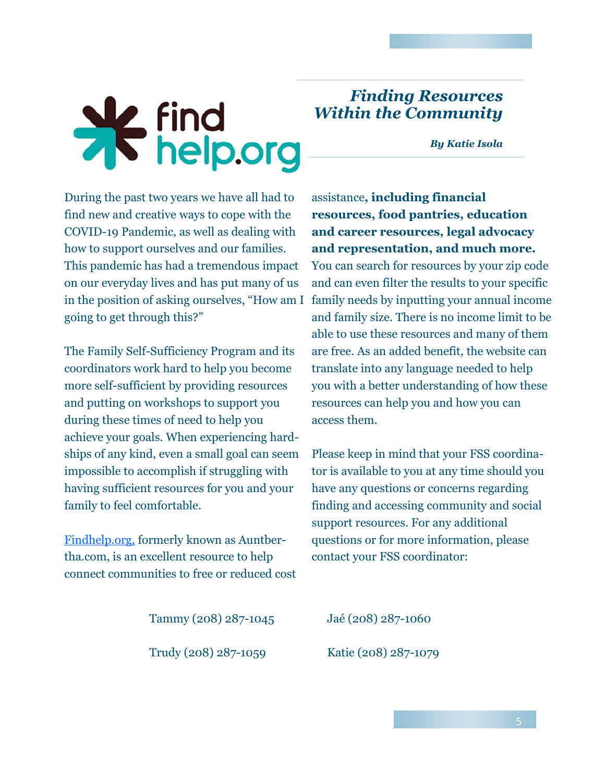# \* find<br>\* help.org

# *Finding Resources Within the Community*

*By Katie Isola*

During the past two years we have all had to find new and creative ways to cope with the COVID-19 Pandemic, as well as dealing with how to support ourselves and our families. This pandemic has had a tremendous impact on our everyday lives and has put many of us in the position of asking ourselves, "How am I going to get through this?"

The Family Self-Sufficiency Program and its coordinators work hard to help you become more self-sufficient by providing resources and putting on workshops to support you during these times of need to help you achieve your goals. When experiencing hardships of any kind, even a small goal can seem impossible to accomplish if struggling with having sufficient resources for you and your family to feel comfortable.

[Findhelp.org, f](https://www.findhelp.org/)ormerly known as Auntbertha.com, is an excellent resource to help connect communities to free or reduced cost

assistance**, including financial resources, food pantries, education and career resources, legal advocacy and representation, and much more.** You can search for resources by your zip code and can even filter the results to your specific family needs by inputting your annual income and family size. There is no income limit to be able to use these resources and many of them

are free. As an added benefit, the website can translate into any language needed to help you with a better understanding of how these

resources can help you and how you can

access them.

Please keep in mind that your FSS coordinator is available to you at any time should you have any questions or concerns regarding finding and accessing community and social support resources. For any additional questions or for more information, please contact your FSS coordinator:

Tammy (208) 287-1045 Jaé (208) 287-1060

Trudy (208) 287-1059 Katie (208) 287-1079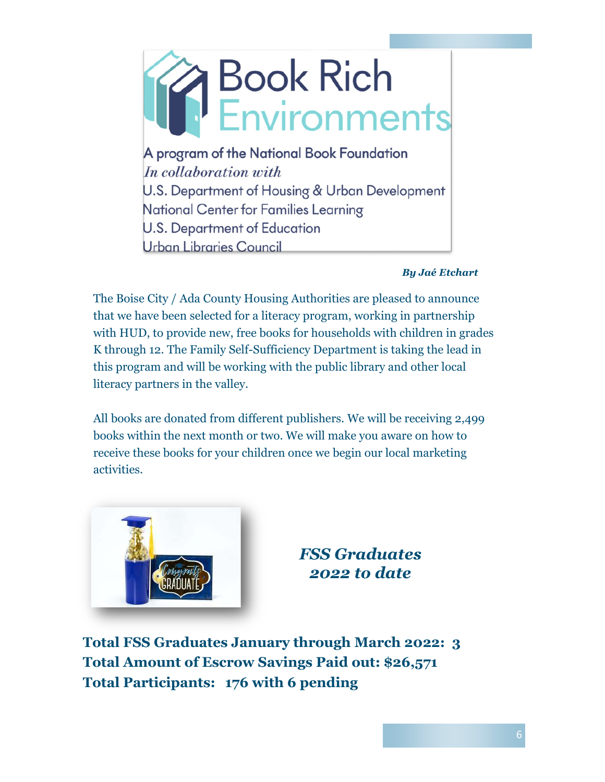

### *By Jaé Etchart*

The Boise City / Ada County Housing Authorities are pleased to announce that we have been selected for a literacy program, working in partnership with HUD, to provide new, free books for households with children in grades K through 12. The Family Self-Sufficiency Department is taking the lead in this program and will be working with the public library and other local literacy partners in the valley.

All books are donated from different publishers. We will be receiving 2,499 books within the next month or two. We will make you aware on how to receive these books for your children once we begin our local marketing activities.



# *FSS Graduates 2022 to date*

**Total FSS Graduates January through March 2022: 3 Total Amount of Escrow Savings Paid out: \$26,571 Total Participants: 176 with 6 pending**